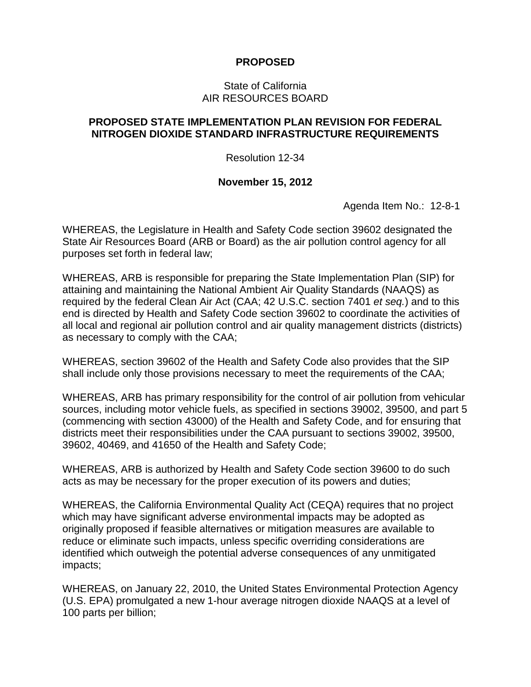## **PROPOSED**

### State of California AIR RESOURCES BOARD

## **PROPOSED STATE IMPLEMENTATION PLAN REVISION FOR FEDERAL NITROGEN DIOXIDE STANDARD INFRASTRUCTURE REQUIREMENTS**

Resolution 12-34

### **November 15, 2012**

Agenda Item No.: 12-8-1

WHEREAS, the Legislature in Health and Safety Code section 39602 designated the State Air Resources Board (ARB or Board) as the air pollution control agency for all purposes set forth in federal law;

WHEREAS, ARB is responsible for preparing the State Implementation Plan (SIP) for attaining and maintaining the National Ambient Air Quality Standards (NAAQS) as required by the federal Clean Air Act (CAA; 42 U.S.C. section 7401 *et seq.*) and to this end is directed by Health and Safety Code section 39602 to coordinate the activities of all local and regional air pollution control and air quality management districts (districts) as necessary to comply with the CAA;

WHEREAS, section 39602 of the Health and Safety Code also provides that the SIP shall include only those provisions necessary to meet the requirements of the CAA;

WHEREAS, ARB has primary responsibility for the control of air pollution from vehicular sources, including motor vehicle fuels, as specified in sections 39002, 39500, and part 5 (commencing with section 43000) of the Health and Safety Code, and for ensuring that districts meet their responsibilities under the CAA pursuant to sections 39002, 39500, 39602, 40469, and 41650 of the Health and Safety Code;

WHEREAS, ARB is authorized by Health and Safety Code section 39600 to do such acts as may be necessary for the proper execution of its powers and duties;

WHEREAS, the California Environmental Quality Act (CEQA) requires that no project which may have significant adverse environmental impacts may be adopted as originally proposed if feasible alternatives or mitigation measures are available to reduce or eliminate such impacts, unless specific overriding considerations are identified which outweigh the potential adverse consequences of any unmitigated impacts;

WHEREAS, on January 22, 2010, the United States Environmental Protection Agency (U.S. EPA) promulgated a new 1-hour average nitrogen dioxide NAAQS at a level of 100 parts per billion;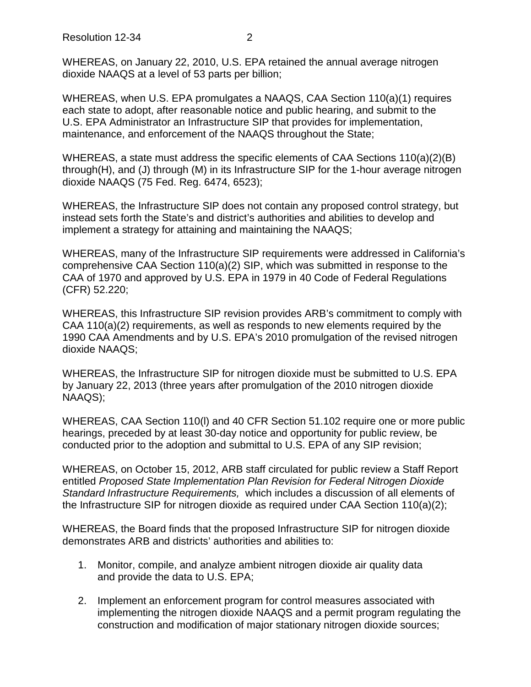Resolution 12-34 2

WHEREAS, on January 22, 2010, U.S. EPA retained the annual average nitrogen dioxide NAAQS at a level of 53 parts per billion;

WHEREAS, when U.S. EPA promulgates a NAAQS, CAA Section 110(a)(1) requires each state to adopt, after reasonable notice and public hearing, and submit to the U.S. EPA Administrator an Infrastructure SIP that provides for implementation, maintenance, and enforcement of the NAAQS throughout the State;

WHEREAS, a state must address the specific elements of CAA Sections 110(a)(2)(B) through(H), and (J) through (M) in its Infrastructure SIP for the 1-hour average nitrogen dioxide NAAQS (75 Fed. Reg. 6474, 6523);

WHEREAS, the Infrastructure SIP does not contain any proposed control strategy, but instead sets forth the State's and district's authorities and abilities to develop and implement a strategy for attaining and maintaining the NAAQS;

WHEREAS, many of the Infrastructure SIP requirements were addressed in California's comprehensive CAA Section 110(a)(2) SIP, which was submitted in response to the CAA of 1970 and approved by U.S. EPA in 1979 in 40 Code of Federal Regulations (CFR) 52.220;

WHEREAS, this Infrastructure SIP revision provides ARB's commitment to comply with CAA 110(a)(2) requirements, as well as responds to new elements required by the 1990 CAA Amendments and by U.S. EPA's 2010 promulgation of the revised nitrogen dioxide NAAQS;

WHEREAS, the Infrastructure SIP for nitrogen dioxide must be submitted to U.S. EPA by January 22, 2013 (three years after promulgation of the 2010 nitrogen dioxide NAAQS);

WHEREAS, CAA Section 110(l) and 40 CFR Section 51.102 require one or more public hearings, preceded by at least 30-day notice and opportunity for public review, be conducted prior to the adoption and submittal to U.S. EPA of any SIP revision;

WHEREAS, on October 15, 2012, ARB staff circulated for public review a Staff Report entitled *Proposed State Implementation Plan Revision for Federal Nitrogen Dioxide Standard Infrastructure Requirements,* which includes a discussion of all elements of the Infrastructure SIP for nitrogen dioxide as required under CAA Section 110(a)(2);

WHEREAS, the Board finds that the proposed Infrastructure SIP for nitrogen dioxide demonstrates ARB and districts' authorities and abilities to:

- 1. Monitor, compile, and analyze ambient nitrogen dioxide air quality data and provide the data to U.S. EPA;
- 2. Implement an enforcement program for control measures associated with implementing the nitrogen dioxide NAAQS and a permit program regulating the construction and modification of major stationary nitrogen dioxide sources;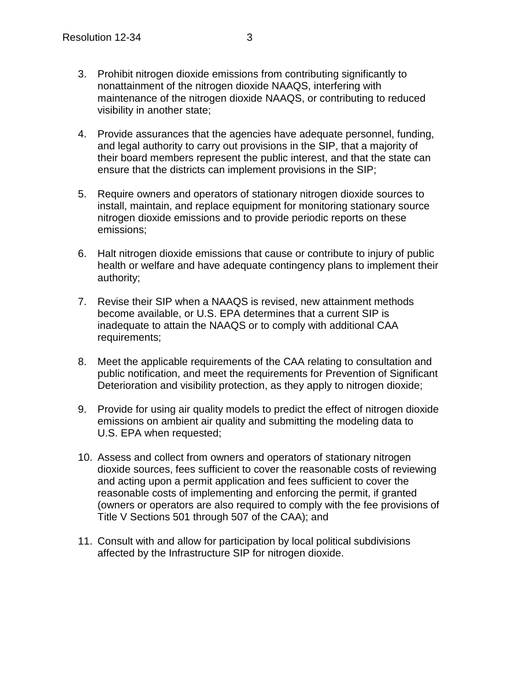- 3. Prohibit nitrogen dioxide emissions from contributing significantly to nonattainment of the nitrogen dioxide NAAQS, interfering with maintenance of the nitrogen dioxide NAAQS, or contributing to reduced visibility in another state;
- 4. Provide assurances that the agencies have adequate personnel, funding, and legal authority to carry out provisions in the SIP, that a majority of their board members represent the public interest, and that the state can ensure that the districts can implement provisions in the SIP;
- 5. Require owners and operators of stationary nitrogen dioxide sources to install, maintain, and replace equipment for monitoring stationary source nitrogen dioxide emissions and to provide periodic reports on these emissions;
- 6. Halt nitrogen dioxide emissions that cause or contribute to injury of public health or welfare and have adequate contingency plans to implement their authority;
- 7. Revise their SIP when a NAAQS is revised, new attainment methods become available, or U.S. EPA determines that a current SIP is inadequate to attain the NAAQS or to comply with additional CAA requirements;
- 8. Meet the applicable requirements of the CAA relating to consultation and public notification, and meet the requirements for Prevention of Significant Deterioration and visibility protection, as they apply to nitrogen dioxide;
- 9. Provide for using air quality models to predict the effect of nitrogen dioxide emissions on ambient air quality and submitting the modeling data to U.S. EPA when requested;
- 10. Assess and collect from owners and operators of stationary nitrogen dioxide sources, fees sufficient to cover the reasonable costs of reviewing and acting upon a permit application and fees sufficient to cover the reasonable costs of implementing and enforcing the permit, if granted (owners or operators are also required to comply with the fee provisions of Title V Sections 501 through 507 of the CAA); and
- 11. Consult with and allow for participation by local political subdivisions affected by the Infrastructure SIP for nitrogen dioxide.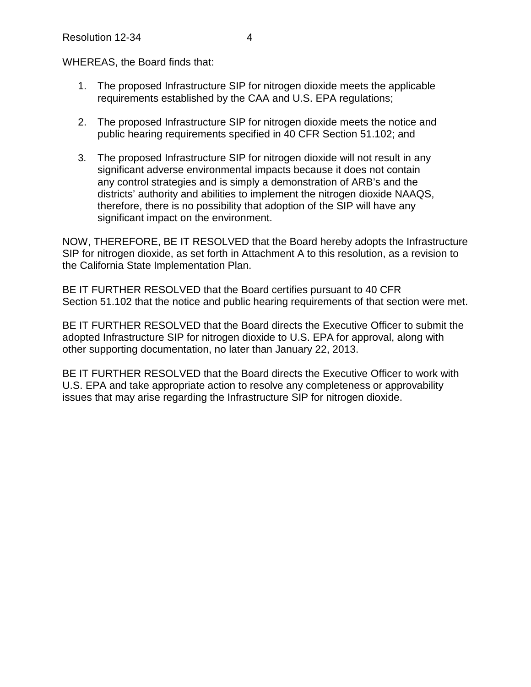WHEREAS, the Board finds that:

- 1. The proposed Infrastructure SIP for nitrogen dioxide meets the applicable requirements established by the CAA and U.S. EPA regulations;
- 2. The proposed Infrastructure SIP for nitrogen dioxide meets the notice and public hearing requirements specified in 40 CFR Section 51.102; and
- 3. The proposed Infrastructure SIP for nitrogen dioxide will not result in any significant adverse environmental impacts because it does not contain any control strategies and is simply a demonstration of ARB's and the districts' authority and abilities to implement the nitrogen dioxide NAAQS, therefore, there is no possibility that adoption of the SIP will have any significant impact on the environment.

NOW, THEREFORE, BE IT RESOLVED that the Board hereby adopts the Infrastructure SIP for nitrogen dioxide, as set forth in Attachment A to this resolution, as a revision to the California State Implementation Plan.

BE IT FURTHER RESOLVED that the Board certifies pursuant to 40 CFR Section 51.102 that the notice and public hearing requirements of that section were met.

BE IT FURTHER RESOLVED that the Board directs the Executive Officer to submit the adopted Infrastructure SIP for nitrogen dioxide to U.S. EPA for approval, along with other supporting documentation, no later than January 22, 2013.

BE IT FURTHER RESOLVED that the Board directs the Executive Officer to work with U.S. EPA and take appropriate action to resolve any completeness or approvability issues that may arise regarding the Infrastructure SIP for nitrogen dioxide.